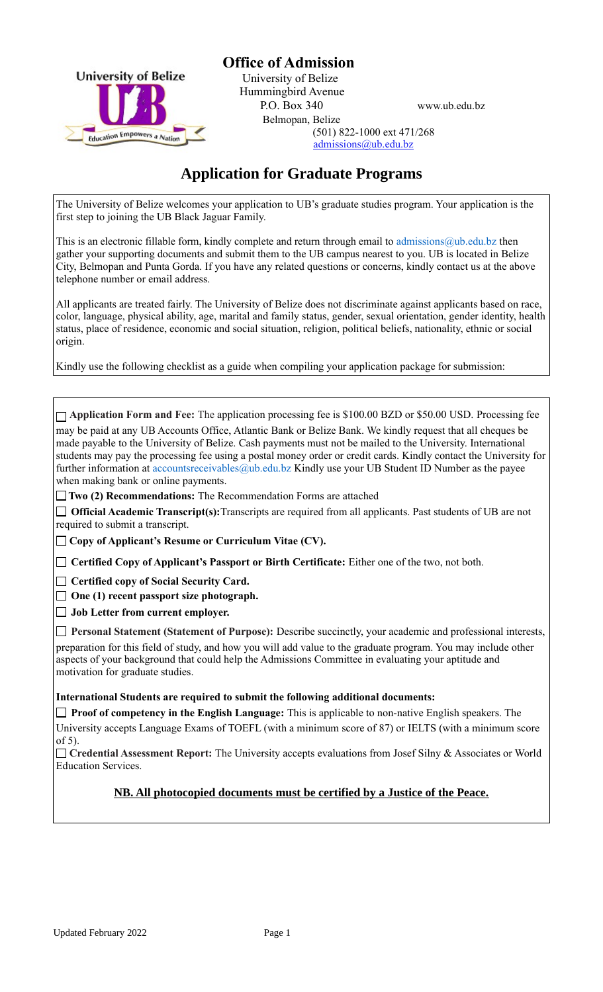

**Office of Admission**<br>University of Belize<br>Liniversity of Belize University of Belize Hummingbird Avenue P.O. Box 340 www.ub.edu.bz

 Belmopan, Belize  $E_{\text{ducation}}$  Empowers a  $_{\text{Nation}}$   $(501)$  822-1000 ext 471/268 admissions@ub.edu.bz

# **Application for Graduate Programs**

The University of Belize welcomes your application to UB's graduate studies program. Your application is the first step to joining the UB Black Jaguar Family.

This is an electronic fillable form, kindly complete and return through email to admissions  $@ub$ . edu.bz then gather your supporting documents and submit them to the UB campus nearest to you. UB is located in Belize City, Belmopan and Punta Gorda. If you have any related questions or concerns, kindly contact us at the above telephone number or email address.

All applicants are treated fairly. The University of Belize does not discriminate against applicants based on race, color, language, physical ability, age, marital and family status, gender, sexual orientation, gender identity, health status, place of residence, economic and social situation, religion, political beliefs, nationality, ethnic or social origin.

Kindly use the following checklist as a guide when compiling your application package for submission:

| $\Box$ Application Form and Fee: The application processing fee is \$100.00 BZD or \$50.00 USD. Processing fee<br>may be paid at any UB Accounts Office, Atlantic Bank or Belize Bank. We kindly request that all cheques be<br>made payable to the University of Belize. Cash payments must not be mailed to the University. International<br>students may pay the processing fee using a postal money order or credit cards. Kindly contact the University for<br>further information at accountsreceivables@ub.edu.bz Kindly use your UB Student ID Number as the payee<br>when making bank or online payments. |  |  |  |  |  |
|--------------------------------------------------------------------------------------------------------------------------------------------------------------------------------------------------------------------------------------------------------------------------------------------------------------------------------------------------------------------------------------------------------------------------------------------------------------------------------------------------------------------------------------------------------------------------------------------------------------------|--|--|--|--|--|
| $\Box$ Two (2) Recommendations: The Recommendation Forms are attached                                                                                                                                                                                                                                                                                                                                                                                                                                                                                                                                              |  |  |  |  |  |
| $\Box$ Official Academic Transcript(s): Transcripts are required from all applicants. Past students of UB are not<br>required to submit a transcript.                                                                                                                                                                                                                                                                                                                                                                                                                                                              |  |  |  |  |  |
| $\Box$ Copy of Applicant's Resume or Curriculum Vitae (CV).                                                                                                                                                                                                                                                                                                                                                                                                                                                                                                                                                        |  |  |  |  |  |
| Certified Copy of Applicant's Passport or Birth Certificate: Either one of the two, not both.                                                                                                                                                                                                                                                                                                                                                                                                                                                                                                                      |  |  |  |  |  |
| Certified copy of Social Security Card.<br>One (1) recent passport size photograph.<br>Job Letter from current employer.                                                                                                                                                                                                                                                                                                                                                                                                                                                                                           |  |  |  |  |  |
| Personal Statement (Statement of Purpose): Describe succinctly, your academic and professional interests,<br>preparation for this field of study, and how you will add value to the graduate program. You may include other<br>aspects of your background that could help the Admissions Committee in evaluating your aptitude and<br>motivation for graduate studies.                                                                                                                                                                                                                                             |  |  |  |  |  |
| International Students are required to submit the following additional documents:                                                                                                                                                                                                                                                                                                                                                                                                                                                                                                                                  |  |  |  |  |  |
| $\Box$ Proof of competency in the English Language: This is applicable to non-native English speakers. The                                                                                                                                                                                                                                                                                                                                                                                                                                                                                                         |  |  |  |  |  |
| University accepts Language Exams of TOEFL (with a minimum score of 87) or IELTS (with a minimum score<br>of $5$ ).                                                                                                                                                                                                                                                                                                                                                                                                                                                                                                |  |  |  |  |  |
| □ Credential Assessment Report: The University accepts evaluations from Josef Silny & Associates or World<br><b>Education Services.</b>                                                                                                                                                                                                                                                                                                                                                                                                                                                                            |  |  |  |  |  |
| NB. All photocopied documents must be certified by a Justice of the Peace.                                                                                                                                                                                                                                                                                                                                                                                                                                                                                                                                         |  |  |  |  |  |

Label Field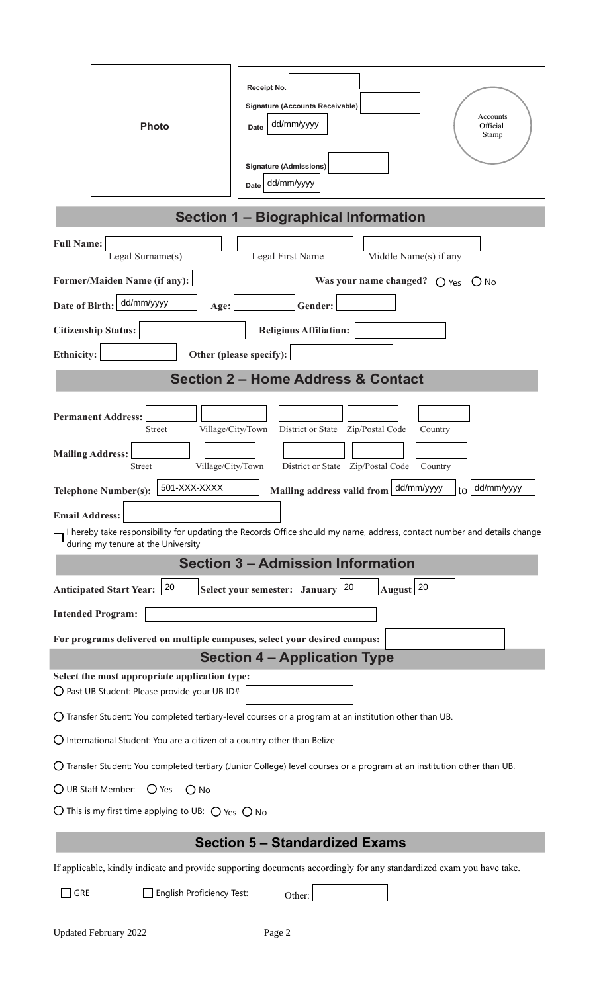|                                                                                                                                  | <b>Photo</b>                                                                                   | Receipt No.<br><b>Signature (Accounts Receivable)</b><br>Accounts<br>dd/mm/yyyy<br>Official<br><b>Date</b><br>Stamp<br><b>Signature (Admissions)</b><br>dd/mm/yyyy<br>Date |  |  |  |  |  |
|----------------------------------------------------------------------------------------------------------------------------------|------------------------------------------------------------------------------------------------|----------------------------------------------------------------------------------------------------------------------------------------------------------------------------|--|--|--|--|--|
| <b>Section 1 - Biographical Information</b>                                                                                      |                                                                                                |                                                                                                                                                                            |  |  |  |  |  |
| <b>Full Name:</b>                                                                                                                | Legal Surname(s)                                                                               | Legal First Name<br>Middle Name(s) if any                                                                                                                                  |  |  |  |  |  |
|                                                                                                                                  | Former/Maiden Name (if any):                                                                   | Was your name changed? $\bigcirc$ Yes $\bigcirc$ No                                                                                                                        |  |  |  |  |  |
| Date of Birth:                                                                                                                   | dd/mm/yyyy<br>Age:                                                                             | $\blacktriangledown$<br>Gender:                                                                                                                                            |  |  |  |  |  |
|                                                                                                                                  | <b>Citizenship Status:</b><br>$\vert \mathbf{v} \vert$                                         | <b>Religious Affiliation:</b><br>$\blacktriangleright$                                                                                                                     |  |  |  |  |  |
| <b>Ethnicity:</b>                                                                                                                | $\vert \blacktriangledown$                                                                     | Other (please specify):                                                                                                                                                    |  |  |  |  |  |
|                                                                                                                                  |                                                                                                | <b>Section 2 - Home Address &amp; Contact</b>                                                                                                                              |  |  |  |  |  |
| <b>Mailing Address:</b>                                                                                                          | <b>Permanent Address:</b><br>Village/City/Town<br><b>Street</b><br>Village/City/Town<br>Street | District or State    Zip/Postal Code<br>Country<br>District or State    Zip/Postal Code<br>Country                                                                         |  |  |  |  |  |
|                                                                                                                                  | 501-XXX-XXXX<br>Telephone Number(s):                                                           | dd/mm/yyyy<br>dd/mm/yyyy<br>Mailing address valid from<br>to                                                                                                               |  |  |  |  |  |
| <b>Email Address:</b>                                                                                                            |                                                                                                |                                                                                                                                                                            |  |  |  |  |  |
|                                                                                                                                  | during my tenure at the University                                                             | I hereby take responsibility for updating the Records Office should my name, address, contact number and details change                                                    |  |  |  |  |  |
|                                                                                                                                  |                                                                                                | <b>Section 3 - Admission Information</b>                                                                                                                                   |  |  |  |  |  |
|                                                                                                                                  | 20<br><b>Anticipated Start Year:</b>                                                           | Select your semester: January $\boxed{20}$<br>August <sup>20</sup>                                                                                                         |  |  |  |  |  |
|                                                                                                                                  | <b>Intended Program:</b>                                                                       | $\blacksquare$                                                                                                                                                             |  |  |  |  |  |
|                                                                                                                                  | For programs delivered on multiple campuses, select your desired campus:                       | $\blacktriangledown$                                                                                                                                                       |  |  |  |  |  |
|                                                                                                                                  | Select the most appropriate application type:                                                  | <b>Section 4 - Application Type</b>                                                                                                                                        |  |  |  |  |  |
|                                                                                                                                  | $\bigcirc$ Past UB Student: Please provide your UB ID#                                         |                                                                                                                                                                            |  |  |  |  |  |
| $\bigcirc$ Transfer Student: You completed tertiary-level courses or a program at an institution other than UB.                  |                                                                                                |                                                                                                                                                                            |  |  |  |  |  |
| $\bigcirc$ International Student: You are a citizen of a country other than Belize                                               |                                                                                                |                                                                                                                                                                            |  |  |  |  |  |
| $\bigcirc$ Transfer Student: You completed tertiary (Junior College) level courses or a program at an institution other than UB. |                                                                                                |                                                                                                                                                                            |  |  |  |  |  |
| $\bigcirc$ UB Staff Member: $\bigcirc$ Yes<br>$O$ No                                                                             |                                                                                                |                                                                                                                                                                            |  |  |  |  |  |
| $\bigcirc$ This is my first time applying to UB: $\bigcirc$ Yes $\bigcirc$ No                                                    |                                                                                                |                                                                                                                                                                            |  |  |  |  |  |
| <b>Section 5 - Standardized Exams</b>                                                                                            |                                                                                                |                                                                                                                                                                            |  |  |  |  |  |
| If applicable, kindly indicate and provide supporting documents accordingly for any standardized exam you have take.             |                                                                                                |                                                                                                                                                                            |  |  |  |  |  |
| GRE                                                                                                                              | English Proficiency Test:                                                                      | Other:                                                                                                                                                                     |  |  |  |  |  |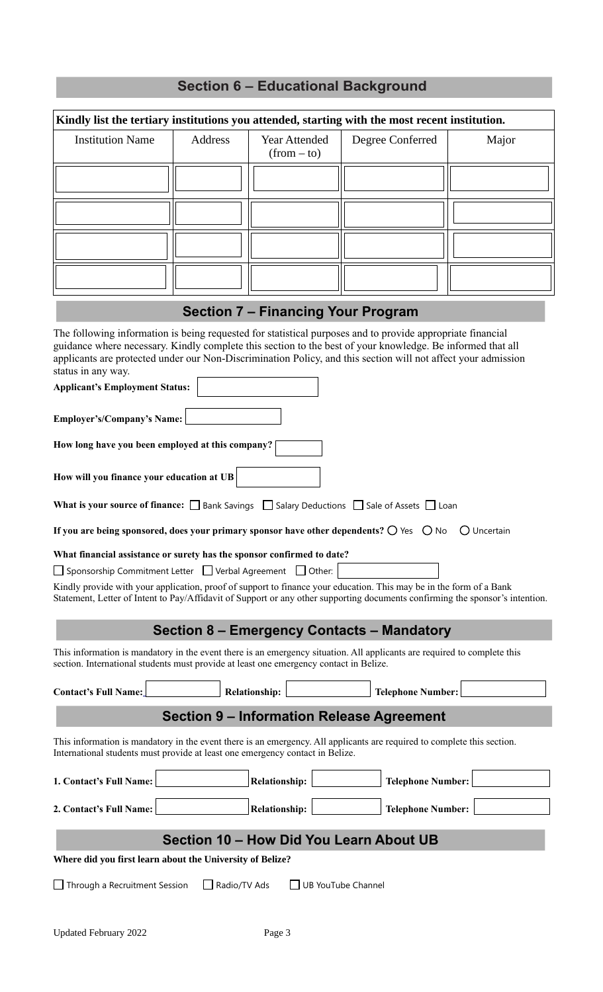| <b>Section 6 - Educational Background</b>                                                                                                                                                                                                                                                                                                                                                                |                |  |                                           |  |                                                  |             |  |  |  |
|----------------------------------------------------------------------------------------------------------------------------------------------------------------------------------------------------------------------------------------------------------------------------------------------------------------------------------------------------------------------------------------------------------|----------------|--|-------------------------------------------|--|--------------------------------------------------|-------------|--|--|--|
| Kindly list the tertiary institutions you attended, starting with the most recent institution.                                                                                                                                                                                                                                                                                                           |                |  |                                           |  |                                                  |             |  |  |  |
| <b>Institution Name</b>                                                                                                                                                                                                                                                                                                                                                                                  | <b>Address</b> |  | <b>Year Attended</b><br>$(from - to)$     |  | Degree Conferred                                 | Major       |  |  |  |
|                                                                                                                                                                                                                                                                                                                                                                                                          |                |  |                                           |  |                                                  |             |  |  |  |
|                                                                                                                                                                                                                                                                                                                                                                                                          |                |  |                                           |  |                                                  |             |  |  |  |
|                                                                                                                                                                                                                                                                                                                                                                                                          |                |  |                                           |  |                                                  |             |  |  |  |
|                                                                                                                                                                                                                                                                                                                                                                                                          |                |  |                                           |  |                                                  |             |  |  |  |
|                                                                                                                                                                                                                                                                                                                                                                                                          |                |  | <b>Section 7 - Financing Your Program</b> |  |                                                  |             |  |  |  |
| The following information is being requested for statistical purposes and to provide appropriate financial<br>guidance where necessary. Kindly complete this section to the best of your knowledge. Be informed that all<br>applicants are protected under our Non-Discrimination Policy, and this section will not affect your admission<br>status in any way.<br><b>Applicant's Employment Status:</b> |                |  |                                           |  |                                                  |             |  |  |  |
| <b>Employer's/Company's Name:</b>                                                                                                                                                                                                                                                                                                                                                                        |                |  |                                           |  |                                                  |             |  |  |  |
| How long have you been employed at this company?                                                                                                                                                                                                                                                                                                                                                         |                |  |                                           |  |                                                  |             |  |  |  |
| How will you finance your education at UB                                                                                                                                                                                                                                                                                                                                                                |                |  |                                           |  |                                                  |             |  |  |  |
| <b>What is your source of finance:</b> $\Box$ Bank Savings $\Box$ Salary Deductions $\Box$ Sale of Assets $\Box$ Loan                                                                                                                                                                                                                                                                                    |                |  |                                           |  |                                                  |             |  |  |  |
| If you are being sponsored, does your primary sponsor have other dependents? $\bigcirc$ Yes $\bigcirc$ No                                                                                                                                                                                                                                                                                                |                |  |                                           |  |                                                  | O Uncertain |  |  |  |
| What financial assistance or surety has the sponsor confirmed to date?<br>□ Sponsorship Commitment Letter □ Verbal Agreement □ Other:<br>Kindly provide with your application, proof of support to finance your education. This may be in the form of a Bank<br>Statement, Letter of Intent to Pay/Affidavit of Support or any other supporting documents confirming the sponsor's intention.            |                |  |                                           |  |                                                  |             |  |  |  |
| <b>Section 8 - Emergency Contacts - Mandatory</b>                                                                                                                                                                                                                                                                                                                                                        |                |  |                                           |  |                                                  |             |  |  |  |
| This information is mandatory in the event there is an emergency situation. All applicants are required to complete this<br>section. International students must provide at least one emergency contact in Belize.                                                                                                                                                                                       |                |  |                                           |  |                                                  |             |  |  |  |
| Contact's Full Name:                                                                                                                                                                                                                                                                                                                                                                                     |                |  | Relationship:                             |  | <b>Telephone Number:</b>                         |             |  |  |  |
|                                                                                                                                                                                                                                                                                                                                                                                                          |                |  |                                           |  | <b>Section 9 - Information Release Agreement</b> |             |  |  |  |
| This information is mandatory in the event there is an emergency. All applicants are required to complete this section.<br>International students must provide at least one emergency contact in Belize.                                                                                                                                                                                                 |                |  |                                           |  |                                                  |             |  |  |  |
| 1. Contact's Full Name:                                                                                                                                                                                                                                                                                                                                                                                  |                |  | Relationship:                             |  | <b>Telephone Number:</b>                         |             |  |  |  |
| 2. Contact's Full Name:                                                                                                                                                                                                                                                                                                                                                                                  |                |  | Relationship:                             |  | <b>Telephone Number:</b>                         |             |  |  |  |
| Section 10 - How Did You Learn About UB                                                                                                                                                                                                                                                                                                                                                                  |                |  |                                           |  |                                                  |             |  |  |  |
| Where did you first learn about the University of Belize?                                                                                                                                                                                                                                                                                                                                                |                |  |                                           |  |                                                  |             |  |  |  |
| $\Box$ Radio/TV Ads<br>UB YouTube Channel<br>Through a Recruitment Session                                                                                                                                                                                                                                                                                                                               |                |  |                                           |  |                                                  |             |  |  |  |